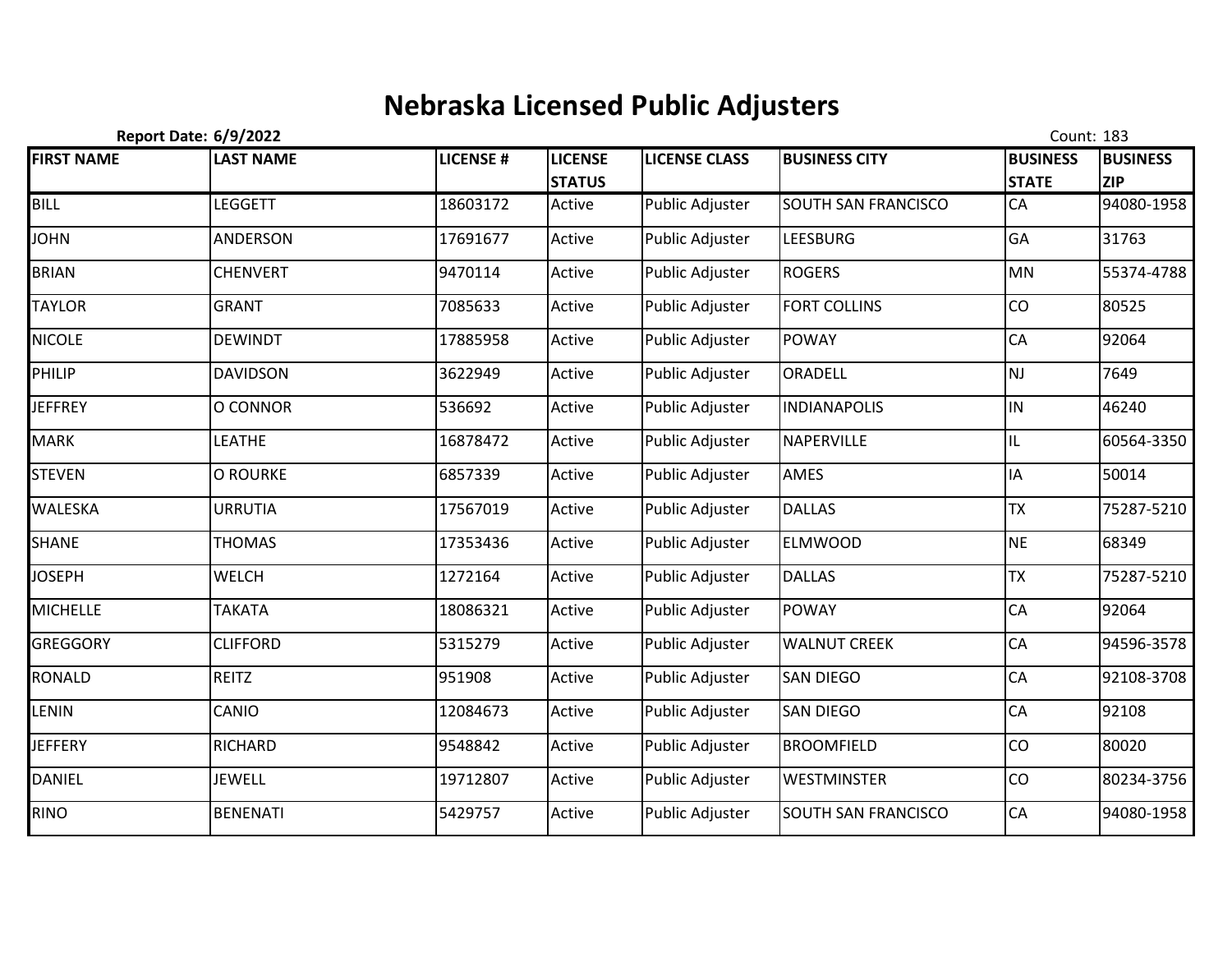## **Nebraska Licensed Public Adjusters**

|                   | <b>Report Date: 6/9/2022</b> |                 |                                 |                        |                      | Count: 183                      |                               |
|-------------------|------------------------------|-----------------|---------------------------------|------------------------|----------------------|---------------------------------|-------------------------------|
| <b>FIRST NAME</b> | <b>LAST NAME</b>             | <b>LICENSE#</b> | <b>LICENSE</b><br><b>STATUS</b> | <b>LICENSE CLASS</b>   | <b>BUSINESS CITY</b> | <b>BUSINESS</b><br><b>STATE</b> | <b>BUSINESS</b><br><b>ZIP</b> |
| <b>BILL</b>       | <b>LEGGETT</b>               | 18603172        | Active                          | Public Adjuster        | SOUTH SAN FRANCISCO  | CA                              | 94080-1958                    |
| <b>JOHN</b>       | <b>ANDERSON</b>              | 17691677        | Active                          | Public Adjuster        | <b>LEESBURG</b>      | GA                              | 31763                         |
| <b>BRIAN</b>      | <b>CHENVERT</b>              | 9470114         | Active                          | <b>Public Adjuster</b> | <b>ROGERS</b>        | <b>MN</b>                       | 55374-4788                    |
| <b>TAYLOR</b>     | <b>GRANT</b>                 | 7085633         | Active                          | Public Adjuster        | <b>FORT COLLINS</b>  | <b>CO</b>                       | 80525                         |
| <b>NICOLE</b>     | <b>DEWINDT</b>               | 17885958        | Active                          | Public Adjuster        | <b>POWAY</b>         | <b>CA</b>                       | 92064                         |
| PHILIP            | <b>DAVIDSON</b>              | 3622949         | Active                          | Public Adjuster        | ORADELL              | NJ                              | 7649                          |
| <b>JEFFREY</b>    | O CONNOR                     | 536692          | Active                          | Public Adjuster        | <b>INDIANAPOLIS</b>  | IN                              | 46240                         |
| <b>MARK</b>       | <b>LEATHE</b>                | 16878472        | Active                          | Public Adjuster        | NAPERVILLE           | IL                              | 60564-3350                    |
| <b>STEVEN</b>     | <b>O ROURKE</b>              | 6857339         | Active                          | Public Adjuster        | AMES                 | IA                              | 50014                         |
| WALESKA           | <b>URRUTIA</b>               | 17567019        | Active                          | Public Adjuster        | <b>DALLAS</b>        | <b>TX</b>                       | 75287-5210                    |
| <b>SHANE</b>      | <b>THOMAS</b>                | 17353436        | Active                          | <b>Public Adjuster</b> | <b>ELMWOOD</b>       | <b>NE</b>                       | 68349                         |
| <b>JOSEPH</b>     | <b>WELCH</b>                 | 1272164         | Active                          | Public Adjuster        | <b>DALLAS</b>        | <b>TX</b>                       | 75287-5210                    |
| <b>MICHELLE</b>   | <b>TAKATA</b>                | 18086321        | Active                          | Public Adjuster        | <b>POWAY</b>         | CA                              | 92064                         |
| <b>GREGGORY</b>   | <b>CLIFFORD</b>              | 5315279         | Active                          | Public Adjuster        | <b>WALNUT CREEK</b>  | CA                              | 94596-3578                    |
| RONALD            | REITZ                        | 951908          | Active                          | Public Adjuster        | <b>SAN DIEGO</b>     | CA                              | 92108-3708                    |
| LENIN             | CANIO                        | 12084673        | Active                          | Public Adjuster        | <b>SAN DIEGO</b>     | CA                              | 92108                         |
| <b>JEFFERY</b>    | <b>RICHARD</b>               | 9548842         | Active                          | <b>Public Adjuster</b> | <b>BROOMFIELD</b>    | CO                              | 80020                         |
| DANIEL            | <b>JEWELL</b>                | 19712807        | Active                          | Public Adjuster        | <b>WESTMINSTER</b>   | CO                              | 80234-3756                    |
| <b>RINO</b>       | <b>BENENATI</b>              | 5429757         | Active                          | Public Adjuster        | SOUTH SAN FRANCISCO  | CA                              | 94080-1958                    |
|                   |                              |                 |                                 |                        |                      |                                 |                               |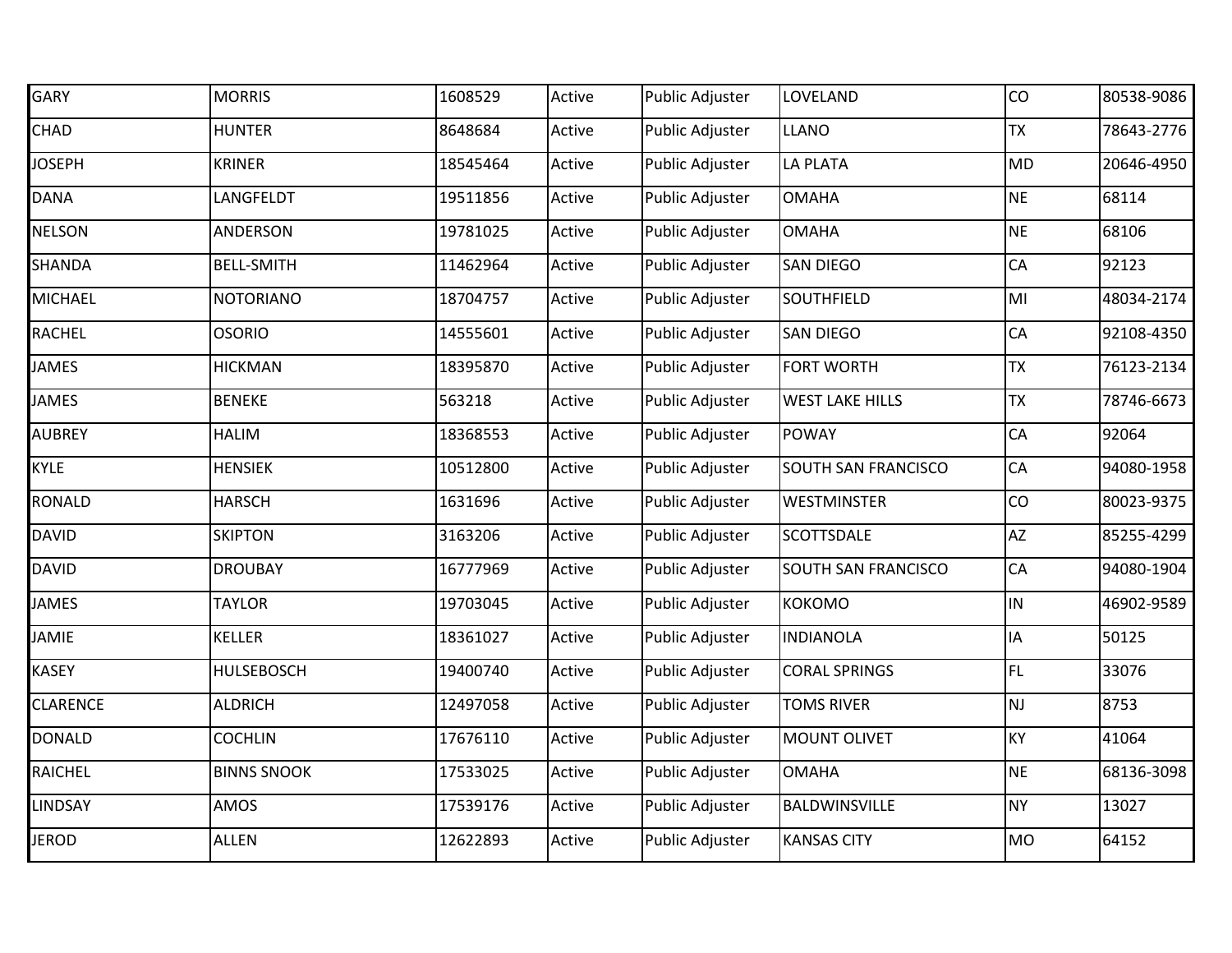| GARY            | <b>MORRIS</b>      | 1608529  | Active | <b>Public Adjuster</b> | LOVELAND               | CO        | 80538-9086 |
|-----------------|--------------------|----------|--------|------------------------|------------------------|-----------|------------|
| CHAD            | <b>HUNTER</b>      | 8648684  | Active | <b>Public Adjuster</b> | <b>LLANO</b>           | <b>TX</b> | 78643-2776 |
| <b>JOSEPH</b>   | <b>KRINER</b>      | 18545464 | Active | <b>Public Adjuster</b> | LA PLATA               | <b>MD</b> | 20646-4950 |
| <b>DANA</b>     | LANGFELDT          | 19511856 | Active | Public Adjuster        | <b>OMAHA</b>           | <b>NE</b> | 68114      |
| <b>NELSON</b>   | ANDERSON           | 19781025 | Active | <b>Public Adjuster</b> | <b>OMAHA</b>           | <b>NE</b> | 68106      |
| SHANDA          | <b>BELL-SMITH</b>  | 11462964 | Active | <b>Public Adjuster</b> | <b>SAN DIEGO</b>       | CA        | 92123      |
| <b>MICHAEL</b>  | <b>NOTORIANO</b>   | 18704757 | Active | <b>Public Adjuster</b> | SOUTHFIELD             | MI        | 48034-2174 |
| RACHEL          | <b>OSORIO</b>      | 14555601 | Active | Public Adjuster        | <b>SAN DIEGO</b>       | CA        | 92108-4350 |
| <b>JAMES</b>    | <b>HICKMAN</b>     | 18395870 | Active | <b>Public Adjuster</b> | <b>FORT WORTH</b>      | <b>TX</b> | 76123-2134 |
| <b>JAMES</b>    | <b>BENEKE</b>      | 563218   | Active | <b>Public Adjuster</b> | <b>WEST LAKE HILLS</b> | <b>TX</b> | 78746-6673 |
| <b>AUBREY</b>   | <b>HALIM</b>       | 18368553 | Active | Public Adjuster        | <b>POWAY</b>           | CA        | 92064      |
| <b>KYLE</b>     | <b>HENSIEK</b>     | 10512800 | Active | Public Adjuster        | SOUTH SAN FRANCISCO    | CA        | 94080-1958 |
| <b>RONALD</b>   | <b>HARSCH</b>      | 1631696  | Active | Public Adjuster        | <b>WESTMINSTER</b>     | CO        | 80023-9375 |
| <b>DAVID</b>    | <b>SKIPTON</b>     | 3163206  | Active | Public Adjuster        | <b>SCOTTSDALE</b>      | <b>AZ</b> | 85255-4299 |
| <b>DAVID</b>    | <b>DROUBAY</b>     | 16777969 | Active | Public Adjuster        | SOUTH SAN FRANCISCO    | CA        | 94080-1904 |
| <b>JAMES</b>    | <b>TAYLOR</b>      | 19703045 | Active | Public Adjuster        | <b>KOKOMO</b>          | IN        | 46902-9589 |
| <b>JAMIE</b>    | <b>KELLER</b>      | 18361027 | Active | <b>Public Adjuster</b> | <b>INDIANOLA</b>       | IA        | 50125      |
| <b>KASEY</b>    | <b>HULSEBOSCH</b>  | 19400740 | Active | Public Adjuster        | <b>CORAL SPRINGS</b>   | FL.       | 33076      |
| <b>CLARENCE</b> | <b>ALDRICH</b>     | 12497058 | Active | Public Adjuster        | <b>TOMS RIVER</b>      | <b>NJ</b> | 8753       |
| <b>DONALD</b>   | <b>COCHLIN</b>     | 17676110 | Active | <b>Public Adjuster</b> | <b>MOUNT OLIVET</b>    | <b>KY</b> | 41064      |
| <b>RAICHEL</b>  | <b>BINNS SNOOK</b> | 17533025 | Active | Public Adjuster        | <b>OMAHA</b>           | <b>NE</b> | 68136-3098 |
| LINDSAY         | AMOS               | 17539176 | Active | Public Adjuster        | BALDWINSVILLE          | <b>NY</b> | 13027      |
| <b>JEROD</b>    | <b>ALLEN</b>       | 12622893 | Active | <b>Public Adjuster</b> | <b>KANSAS CITY</b>     | MO        | 64152      |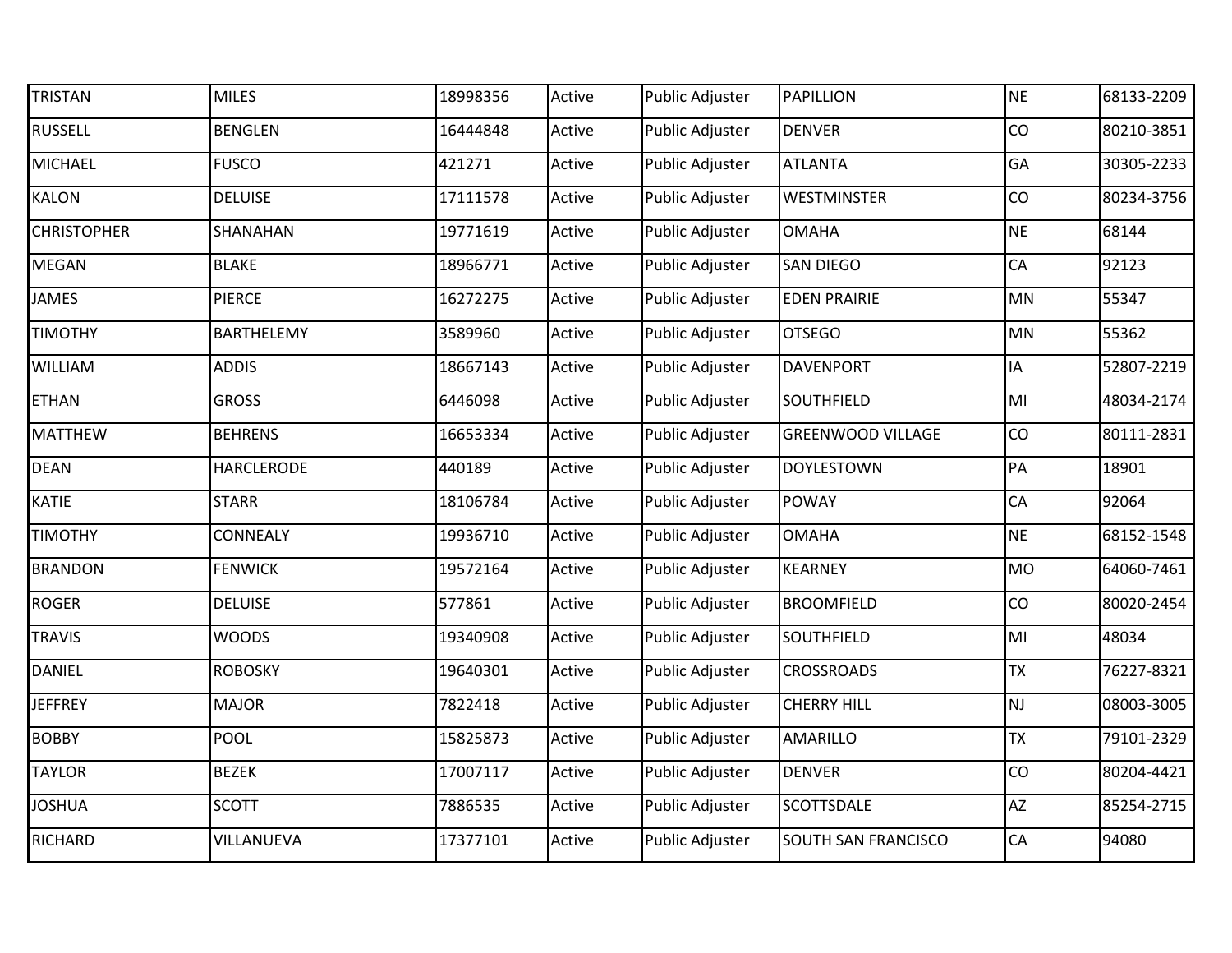| <b>TRISTAN</b>     | <b>MILES</b>      | 18998356 | Active | Public Adjuster        | <b>PAPILLION</b>         | <b>NE</b>      | 68133-2209 |
|--------------------|-------------------|----------|--------|------------------------|--------------------------|----------------|------------|
| <b>RUSSELL</b>     | <b>BENGLEN</b>    | 16444848 | Active | Public Adjuster        | <b>DENVER</b>            | CO             | 80210-3851 |
| MICHAEL            | <b>FUSCO</b>      | 421271   | Active | Public Adjuster        | <b>ATLANTA</b>           | GA             | 30305-2233 |
| KALON              | <b>DELUISE</b>    | 17111578 | Active | Public Adjuster        | WESTMINSTER              | CO             | 80234-3756 |
| <b>CHRISTOPHER</b> | SHANAHAN          | 19771619 | Active | Public Adjuster        | <b>OMAHA</b>             | <b>NE</b>      | 68144      |
| MEGAN              | <b>BLAKE</b>      | 18966771 | Active | Public Adjuster        | <b>SAN DIEGO</b>         | CA             | 92123      |
| JAMES              | <b>PIERCE</b>     | 16272275 | Active | Public Adjuster        | <b>EDEN PRAIRIE</b>      | MN             | 55347      |
| <b>TIMOTHY</b>     | BARTHELEMY        | 3589960  | Active | Public Adjuster        | <b>OTSEGO</b>            | MN             | 55362      |
| WILLIAM            | <b>ADDIS</b>      | 18667143 | Active | Public Adjuster        | <b>DAVENPORT</b>         | IA             | 52807-2219 |
| <b>ETHAN</b>       | <b>GROSS</b>      | 6446098  | Active | Public Adjuster        | SOUTHFIELD               | MI             | 48034-2174 |
| <b>MATTHEW</b>     | <b>BEHRENS</b>    | 16653334 | Active | Public Adjuster        | <b>GREENWOOD VILLAGE</b> | CO             | 80111-2831 |
| <b>DEAN</b>        | <b>HARCLERODE</b> | 440189   | Active | Public Adjuster        | <b>DOYLESTOWN</b>        | PA             | 18901      |
| KATIE              | <b>STARR</b>      | 18106784 | Active | Public Adjuster        | <b>POWAY</b>             | CA             | 92064      |
| <b>TIMOTHY</b>     | CONNEALY          | 19936710 | Active | Public Adjuster        | <b>OMAHA</b>             | <b>NE</b>      | 68152-1548 |
| <b>BRANDON</b>     | <b>FENWICK</b>    | 19572164 | Active | Public Adjuster        | <b>KEARNEY</b>           | MO             | 64060-7461 |
| <b>ROGER</b>       | <b>DELUISE</b>    | 577861   | Active | Public Adjuster        | <b>BROOMFIELD</b>        | CO             | 80020-2454 |
| <b>TRAVIS</b>      | <b>WOODS</b>      | 19340908 | Active | Public Adjuster        | SOUTHFIELD               | M <sub>l</sub> | 48034      |
| <b>DANIEL</b>      | <b>ROBOSKY</b>    | 19640301 | Active | Public Adjuster        | <b>CROSSROADS</b>        | <b>TX</b>      | 76227-8321 |
| <b>JEFFREY</b>     | <b>MAJOR</b>      | 7822418  | Active | Public Adjuster        | <b>CHERRY HILL</b>       | <b>NJ</b>      | 08003-3005 |
| <b>BOBBY</b>       | <b>POOL</b>       | 15825873 | Active | <b>Public Adjuster</b> | AMARILLO                 | <b>TX</b>      | 79101-2329 |
| <b>TAYLOR</b>      | <b>BEZEK</b>      | 17007117 | Active | Public Adjuster        | <b>DENVER</b>            | CO             | 80204-4421 |
| <b>JOSHUA</b>      | <b>SCOTT</b>      | 7886535  | Active | Public Adjuster        | SCOTTSDALE               | AZ             | 85254-2715 |
| <b>RICHARD</b>     | VILLANUEVA        | 17377101 | Active | <b>Public Adjuster</b> | SOUTH SAN FRANCISCO      | CA             | 94080      |
|                    |                   |          |        |                        |                          |                |            |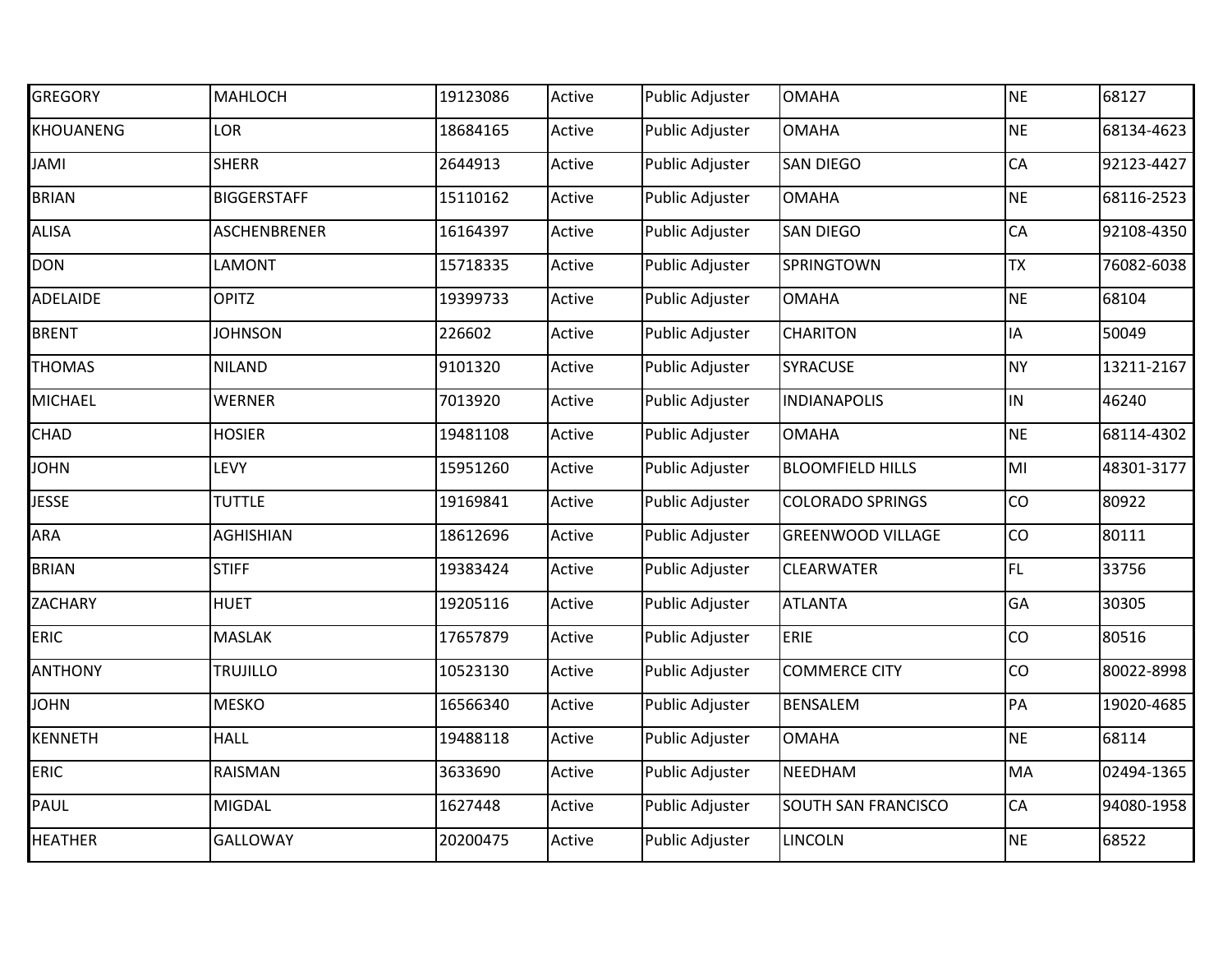| <b>GREGORY</b> | <b>MAHLOCH</b>      | 19123086 | Active | Public Adjuster        | <b>OMAHA</b>             | <b>NE</b> | 68127      |
|----------------|---------------------|----------|--------|------------------------|--------------------------|-----------|------------|
| KHOUANENG      | LOR                 | 18684165 | Active | Public Adjuster        | <b>OMAHA</b>             | <b>NE</b> | 68134-4623 |
| <b>IMAL</b>    | <b>SHERR</b>        | 2644913  | Active | Public Adjuster        | <b>SAN DIEGO</b>         | CA        | 92123-4427 |
| <b>BRIAN</b>   | <b>BIGGERSTAFF</b>  | 15110162 | Active | Public Adjuster        | <b>OMAHA</b>             | <b>NE</b> | 68116-2523 |
| ALISA          | <b>ASCHENBRENER</b> | 16164397 | Active | Public Adjuster        | <b>SAN DIEGO</b>         | CA        | 92108-4350 |
| DON            | LAMONT              | 15718335 | Active | Public Adjuster        | SPRINGTOWN               | <b>TX</b> | 76082-6038 |
| ADELAIDE       | <b>OPITZ</b>        | 19399733 | Active | Public Adjuster        | <b>OMAHA</b>             | <b>NE</b> | 68104      |
| <b>BRENT</b>   | <b>JOHNSON</b>      | 226602   | Active | Public Adjuster        | <b>CHARITON</b>          | IA        | 50049      |
| <b>THOMAS</b>  | <b>NILAND</b>       | 9101320  | Active | Public Adjuster        | SYRACUSE                 | <b>NY</b> | 13211-2167 |
| MICHAEL        | <b>WERNER</b>       | 7013920  | Active | Public Adjuster        | <b>INDIANAPOLIS</b>      | IN        | 46240      |
| CHAD           | <b>HOSIER</b>       | 19481108 | Active | Public Adjuster        | <b>OMAHA</b>             | <b>NE</b> | 68114-4302 |
| <b>NHOL</b>    | <b>LEVY</b>         | 15951260 | Active | Public Adjuster        | <b>BLOOMFIELD HILLS</b>  | MI        | 48301-3177 |
| <b>JESSE</b>   | <b>TUTTLE</b>       | 19169841 | Active | Public Adjuster        | <b>COLORADO SPRINGS</b>  | CO        | 80922      |
| ARA            | <b>AGHISHIAN</b>    | 18612696 | Active | <b>Public Adjuster</b> | <b>GREENWOOD VILLAGE</b> | CO        | 80111      |
| <b>BRIAN</b>   | <b>STIFF</b>        | 19383424 | Active | Public Adjuster        | CLEARWATER               | FL.       | 33756      |
| <b>ZACHARY</b> | <b>HUET</b>         | 19205116 | Active | Public Adjuster        | <b>ATLANTA</b>           | GA        | 30305      |
| <b>ERIC</b>    | <b>MASLAK</b>       | 17657879 | Active | Public Adjuster        | ERIE                     | CO        | 80516      |
| <b>ANTHONY</b> | <b>TRUJILLO</b>     | 10523130 | Active | Public Adjuster        | <b>COMMERCE CITY</b>     | CO        | 80022-8998 |
| <b>NHOL</b>    | <b>MESKO</b>        | 16566340 | Active | Public Adjuster        | BENSALEM                 | PA        | 19020-4685 |
| KENNETH        | <b>HALL</b>         | 19488118 | Active | <b>Public Adjuster</b> | <b>OMAHA</b>             | <b>NE</b> | 68114      |
| <b>ERIC</b>    | RAISMAN             | 3633690  | Active | Public Adjuster        | NEEDHAM                  | MA        | 02494-1365 |
| PAUL           | <b>MIGDAL</b>       | 1627448  | Active | Public Adjuster        | SOUTH SAN FRANCISCO      | CA        | 94080-1958 |
| <b>HEATHER</b> | <b>GALLOWAY</b>     | 20200475 | Active | Public Adjuster        | LINCOLN                  | <b>NE</b> | 68522      |
|                |                     |          |        |                        |                          |           |            |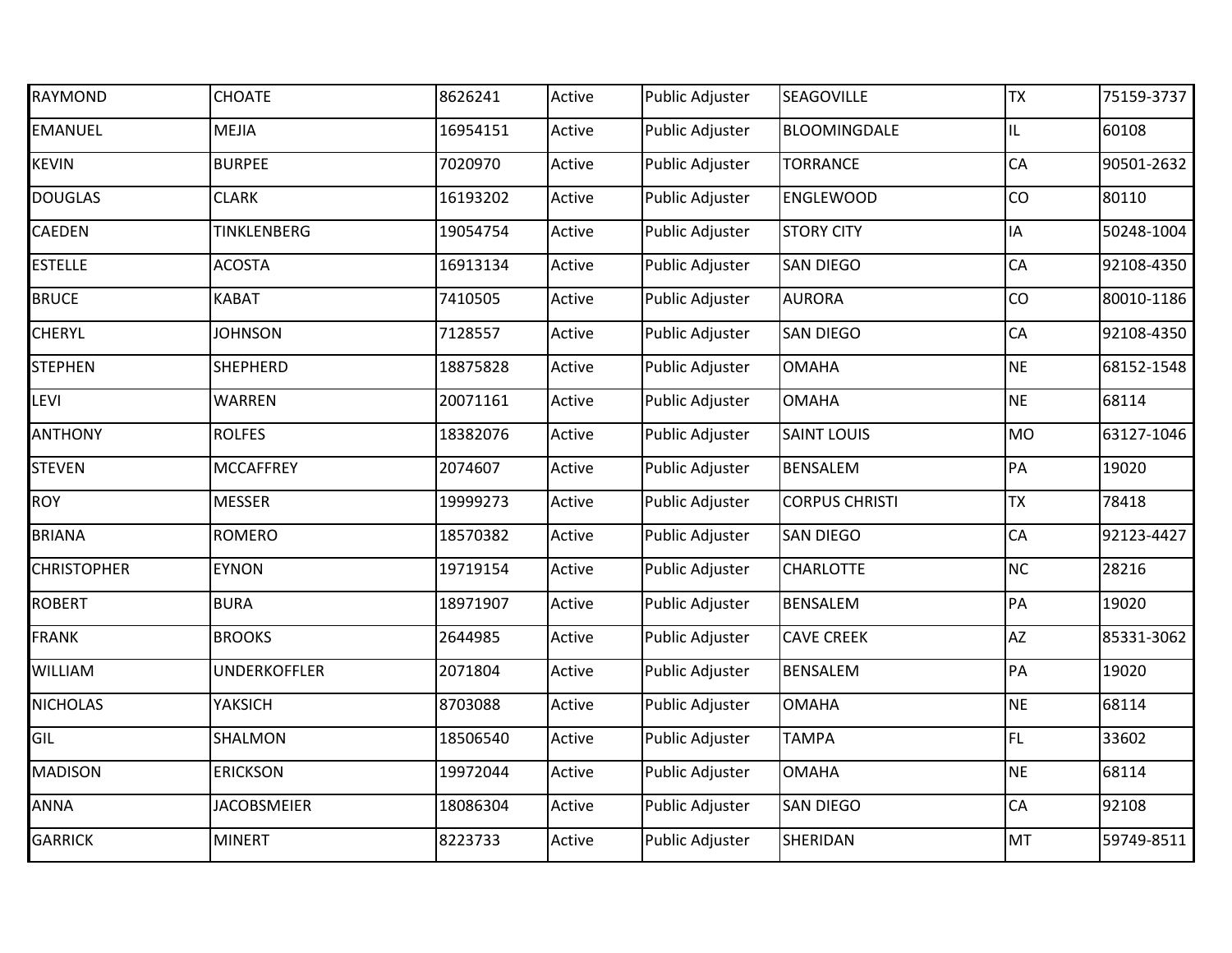| RAYMOND            | <b>CHOATE</b>       | 8626241  | Active | <b>Public Adjuster</b> | <b>SEAGOVILLE</b>     | <b>TX</b> | 75159-3737 |
|--------------------|---------------------|----------|--------|------------------------|-----------------------|-----------|------------|
| <b>EMANUEL</b>     | <b>MEJIA</b>        | 16954151 | Active | <b>Public Adjuster</b> | BLOOMINGDALE          | IL.       | 60108      |
| <b>KEVIN</b>       | <b>BURPEE</b>       | 7020970  | Active | <b>Public Adjuster</b> | <b>TORRANCE</b>       | CA        | 90501-2632 |
| <b>DOUGLAS</b>     | <b>CLARK</b>        | 16193202 | Active | <b>Public Adjuster</b> | <b>ENGLEWOOD</b>      | CO        | 80110      |
| CAEDEN             | TINKLENBERG         | 19054754 | Active | <b>Public Adjuster</b> | <b>STORY CITY</b>     | ΙA        | 50248-1004 |
| <b>ESTELLE</b>     | <b>ACOSTA</b>       | 16913134 | Active | Public Adjuster        | <b>SAN DIEGO</b>      | CA        | 92108-4350 |
| <b>BRUCE</b>       | <b>KABAT</b>        | 7410505  | Active | <b>Public Adjuster</b> | <b>AURORA</b>         | CO        | 80010-1186 |
| <b>CHERYL</b>      | <b>JOHNSON</b>      | 7128557  | Active | <b>Public Adjuster</b> | <b>SAN DIEGO</b>      | CA        | 92108-4350 |
| <b>STEPHEN</b>     | <b>SHEPHERD</b>     | 18875828 | Active | Public Adjuster        | <b>OMAHA</b>          | <b>NE</b> | 68152-1548 |
| LEVI               | <b>WARREN</b>       | 20071161 | Active | <b>Public Adjuster</b> | <b>OMAHA</b>          | <b>NE</b> | 68114      |
| <b>ANTHONY</b>     | <b>ROLFES</b>       | 18382076 | Active | Public Adjuster        | <b>SAINT LOUIS</b>    | <b>MO</b> | 63127-1046 |
| <b>STEVEN</b>      | <b>MCCAFFREY</b>    | 2074607  | Active | Public Adjuster        | <b>BENSALEM</b>       | PA        | 19020      |
| <b>ROY</b>         | <b>MESSER</b>       | 19999273 | Active | <b>Public Adjuster</b> | <b>CORPUS CHRISTI</b> | <b>TX</b> | 78418      |
| <b>BRIANA</b>      | <b>ROMERO</b>       | 18570382 | Active | Public Adjuster        | <b>SAN DIEGO</b>      | CA        | 92123-4427 |
| <b>CHRISTOPHER</b> | <b>EYNON</b>        | 19719154 | Active | <b>Public Adjuster</b> | <b>CHARLOTTE</b>      | NC        | 28216      |
| <b>ROBERT</b>      | <b>BURA</b>         | 18971907 | Active | Public Adjuster        | <b>BENSALEM</b>       | PA        | 19020      |
| <b>FRANK</b>       | <b>BROOKS</b>       | 2644985  | Active | Public Adjuster        | <b>CAVE CREEK</b>     | AZ        | 85331-3062 |
| WILLIAM            | <b>UNDERKOFFLER</b> | 2071804  | Active | <b>Public Adjuster</b> | <b>BENSALEM</b>       | PA        | 19020      |
| <b>NICHOLAS</b>    | YAKSICH             | 8703088  | Active | <b>Public Adjuster</b> | <b>OMAHA</b>          | <b>NE</b> | 68114      |
| GIL                | SHALMON             | 18506540 | Active | Public Adjuster        | <b>TAMPA</b>          | FL.       | 33602      |
| <b>MADISON</b>     | <b>ERICKSON</b>     | 19972044 | Active | <b>Public Adjuster</b> | <b>OMAHA</b>          | <b>NE</b> | 68114      |
| ANNA               | <b>JACOBSMEIER</b>  | 18086304 | Active | Public Adjuster        | <b>SAN DIEGO</b>      | CA        | 92108      |
| <b>GARRICK</b>     | <b>MINERT</b>       | 8223733  | Active | Public Adjuster        | SHERIDAN              | MT        | 59749-8511 |
|                    |                     |          |        |                        |                       |           |            |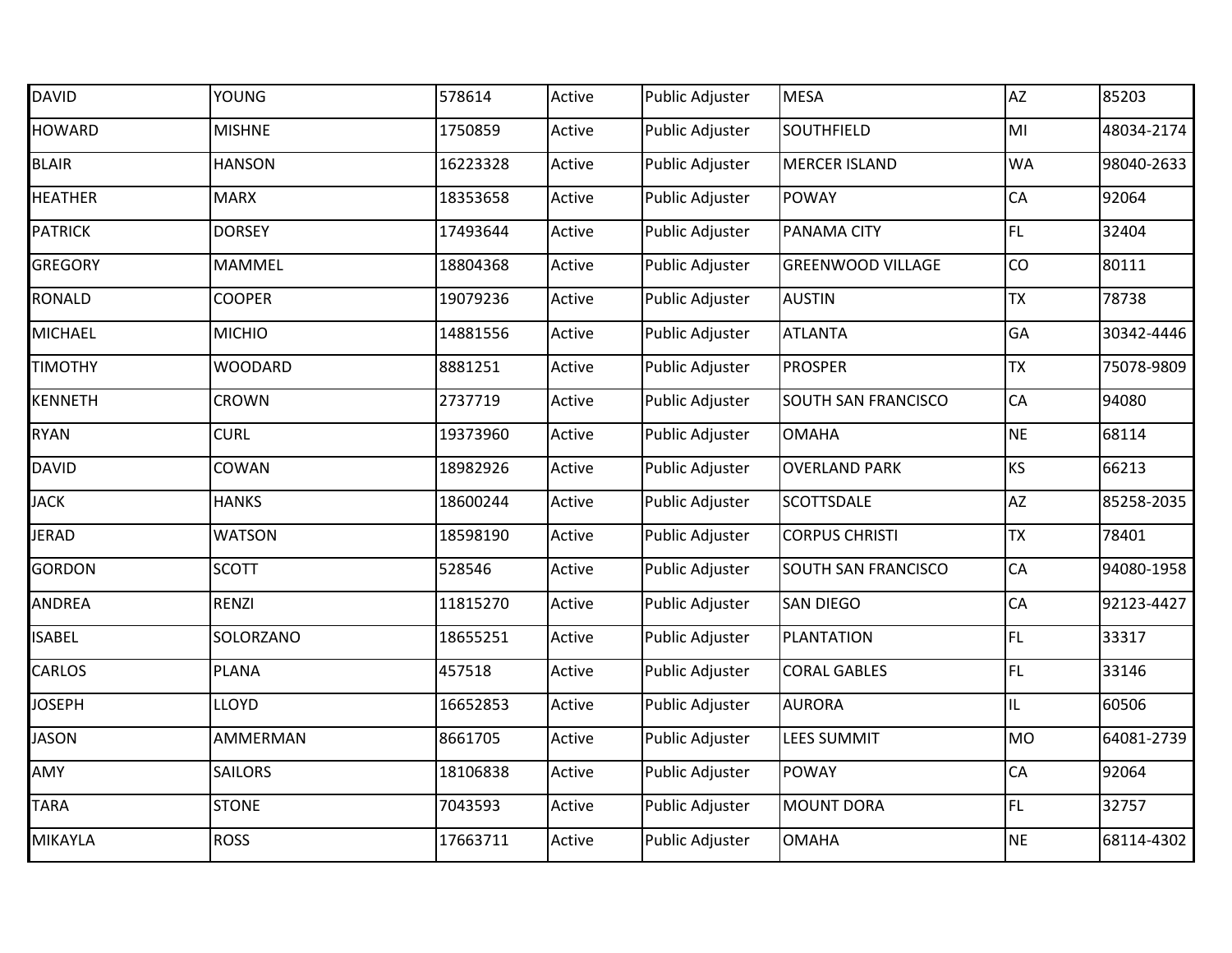| <b>DAVID</b>   | <b>YOUNG</b>   | 578614   | Active | <b>Public Adjuster</b> | <b>MESA</b>              | <b>AZ</b> | 85203      |
|----------------|----------------|----------|--------|------------------------|--------------------------|-----------|------------|
| <b>HOWARD</b>  | <b>MISHNE</b>  | 1750859  | Active | Public Adjuster        | <b>SOUTHFIELD</b>        | MI        | 48034-2174 |
| <b>BLAIR</b>   | <b>HANSON</b>  | 16223328 | Active | Public Adjuster        | <b>MERCER ISLAND</b>     | <b>WA</b> | 98040-2633 |
| <b>HEATHER</b> | <b>MARX</b>    | 18353658 | Active | Public Adjuster        | <b>POWAY</b>             | CA        | 92064      |
| <b>PATRICK</b> | <b>DORSEY</b>  | 17493644 | Active | <b>Public Adjuster</b> | PANAMA CITY              | FL        | 32404      |
| <b>GREGORY</b> | MAMMEL         | 18804368 | Active | Public Adjuster        | <b>GREENWOOD VILLAGE</b> | CO        | 80111      |
| RONALD         | <b>COOPER</b>  | 19079236 | Active | Public Adjuster        | <b>AUSTIN</b>            | <b>TX</b> | 78738      |
| <b>MICHAEL</b> | <b>MICHIO</b>  | 14881556 | Active | <b>Public Adjuster</b> | <b>ATLANTA</b>           | GA        | 30342-4446 |
| <b>TIMOTHY</b> | <b>WOODARD</b> | 8881251  | Active | Public Adjuster        | <b>PROSPER</b>           | <b>TX</b> | 75078-9809 |
| KENNETH        | <b>CROWN</b>   | 2737719  | Active | <b>Public Adjuster</b> | SOUTH SAN FRANCISCO      | CA        | 94080      |
| RYAN           | <b>CURL</b>    | 19373960 | Active | Public Adjuster        | <b>OMAHA</b>             | <b>NE</b> | 68114      |
| <b>DAVID</b>   | COWAN          | 18982926 | Active | Public Adjuster        | <b>OVERLAND PARK</b>     | KS        | 66213      |
| <b>JACK</b>    | <b>HANKS</b>   | 18600244 | Active | Public Adjuster        | <b>SCOTTSDALE</b>        | AZ        | 85258-2035 |
| JERAD          | <b>WATSON</b>  | 18598190 | Active | <b>Public Adjuster</b> | <b>CORPUS CHRISTI</b>    | <b>TX</b> | 78401      |
| GORDON         | <b>SCOTT</b>   | 528546   | Active | Public Adjuster        | SOUTH SAN FRANCISCO      | CA        | 94080-1958 |
| ANDREA         | <b>RENZI</b>   | 11815270 | Active | Public Adjuster        | <b>SAN DIEGO</b>         | CA        | 92123-4427 |
| <b>ISABEL</b>  | SOLORZANO      | 18655251 | Active | <b>Public Adjuster</b> | PLANTATION               | <b>FL</b> | 33317      |
| CARLOS         | <b>PLANA</b>   | 457518   | Active | Public Adjuster        | <b>CORAL GABLES</b>      | FL.       | 33146      |
| <b>JOSEPH</b>  | <b>LLOYD</b>   | 16652853 | Active | Public Adjuster        | <b>AURORA</b>            | IL        | 60506      |
| <b>JASON</b>   | AMMERMAN       | 8661705  | Active | Public Adjuster        | <b>LEES SUMMIT</b>       | <b>MO</b> | 64081-2739 |
| AMY            | SAILORS        | 18106838 | Active | <b>Public Adjuster</b> | <b>POWAY</b>             | CA        | 92064      |
| <b>TARA</b>    | <b>STONE</b>   | 7043593  | Active | Public Adjuster        | <b>MOUNT DORA</b>        | FL.       | 32757      |
| MIKAYLA        | <b>ROSS</b>    | 17663711 | Active | Public Adjuster        | <b>OMAHA</b>             | <b>NE</b> | 68114-4302 |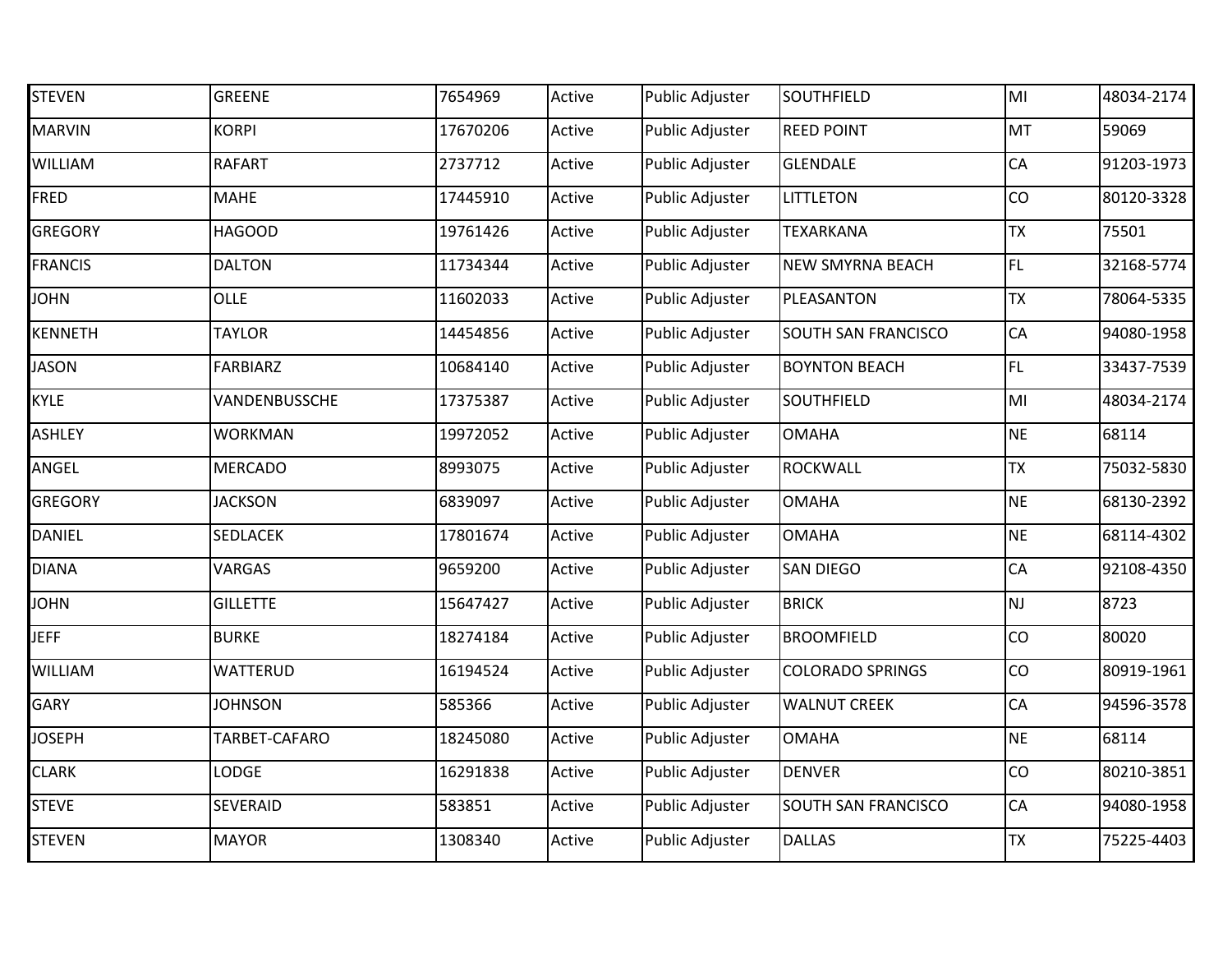| <b>STEVEN</b>  | <b>GREENE</b>   | 7654969  | Active | Public Adjuster        | SOUTHFIELD              | MI        | 48034-2174 |
|----------------|-----------------|----------|--------|------------------------|-------------------------|-----------|------------|
| <b>MARVIN</b>  | <b>KORPI</b>    | 17670206 | Active | <b>Public Adjuster</b> | <b>REED POINT</b>       | MT        | 59069      |
| WILLIAM        | <b>RAFART</b>   | 2737712  | Active | Public Adjuster        | <b>GLENDALE</b>         | CA        | 91203-1973 |
| FRED           | <b>MAHE</b>     | 17445910 | Active | Public Adjuster        | LITTLETON               | CO        | 80120-3328 |
| <b>GREGORY</b> | <b>HAGOOD</b>   | 19761426 | Active | Public Adjuster        | <b>TEXARKANA</b>        | <b>TX</b> | 75501      |
| <b>FRANCIS</b> | <b>DALTON</b>   | 11734344 | Active | Public Adjuster        | NEW SMYRNA BEACH        | FL.       | 32168-5774 |
| <b>JOHN</b>    | <b>OLLE</b>     | 11602033 | Active | Public Adjuster        | PLEASANTON              | <b>TX</b> | 78064-5335 |
| KENNETH        | <b>TAYLOR</b>   | 14454856 | Active | Public Adjuster        | SOUTH SAN FRANCISCO     | CA        | 94080-1958 |
| <b>JASON</b>   | <b>FARBIARZ</b> | 10684140 | Active | Public Adjuster        | <b>BOYNTON BEACH</b>    | FL.       | 33437-7539 |
| KYLE           | VANDENBUSSCHE   | 17375387 | Active | Public Adjuster        | SOUTHFIELD              | MI        | 48034-2174 |
| <b>ASHLEY</b>  | <b>WORKMAN</b>  | 19972052 | Active | Public Adjuster        | <b>OMAHA</b>            | <b>NE</b> | 68114      |
| ANGEL          | <b>MERCADO</b>  | 8993075  | Active | Public Adjuster        | <b>ROCKWALL</b>         | <b>TX</b> | 75032-5830 |
| <b>GREGORY</b> | <b>JACKSON</b>  | 6839097  | Active | Public Adjuster        | <b>OMAHA</b>            | <b>NE</b> | 68130-2392 |
| <b>DANIEL</b>  | SEDLACEK        | 17801674 | Active | Public Adjuster        | <b>OMAHA</b>            | <b>NE</b> | 68114-4302 |
| <b>DIANA</b>   | <b>VARGAS</b>   | 9659200  | Active | Public Adjuster        | SAN DIEGO               | CA        | 92108-4350 |
| <b>NHOL</b>    | <b>GILLETTE</b> | 15647427 | Active | Public Adjuster        | <b>BRICK</b>            | <b>NJ</b> | 8723       |
| JEFF           | <b>BURKE</b>    | 18274184 | Active | Public Adjuster        | <b>BROOMFIELD</b>       | CO        | 80020      |
| WILLIAM        | <b>WATTERUD</b> | 16194524 | Active | Public Adjuster        | <b>COLORADO SPRINGS</b> | CO        | 80919-1961 |
| GARY           | <b>JOHNSON</b>  | 585366   | Active | Public Adjuster        | <b>WALNUT CREEK</b>     | CA        | 94596-3578 |
| <b>JOSEPH</b>  | TARBET-CAFARO   | 18245080 | Active | <b>Public Adjuster</b> | <b>OMAHA</b>            | <b>NE</b> | 68114      |
| <b>CLARK</b>   | LODGE           | 16291838 | Active | <b>Public Adjuster</b> | <b>DENVER</b>           | CO        | 80210-3851 |
| <b>STEVE</b>   | SEVERAID        | 583851   | Active | Public Adjuster        | SOUTH SAN FRANCISCO     | CA        | 94080-1958 |
| <b>STEVEN</b>  | <b>MAYOR</b>    | 1308340  | Active | Public Adjuster        | <b>DALLAS</b>           | <b>TX</b> | 75225-4403 |
|                |                 |          |        |                        |                         |           |            |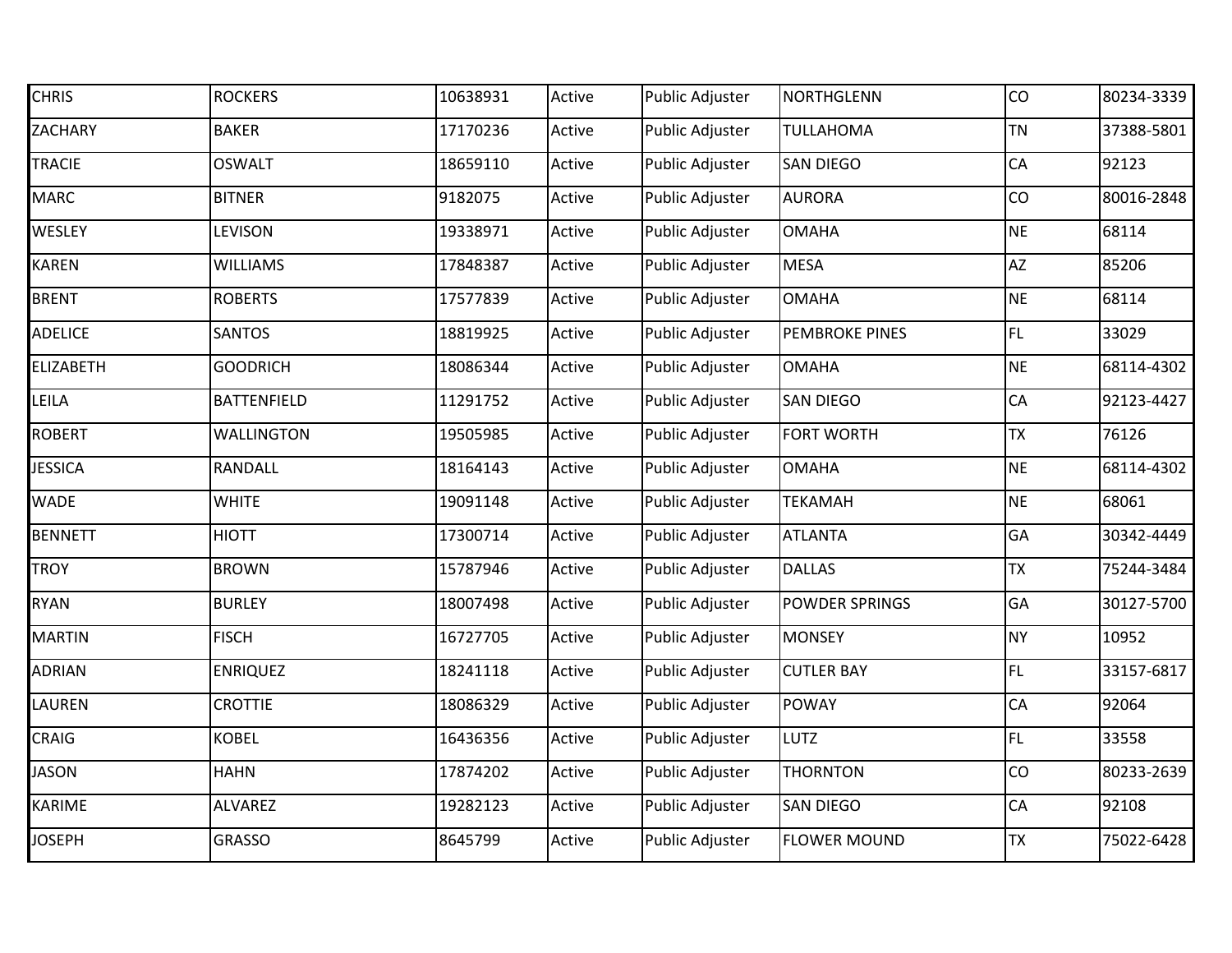| <b>CHRIS</b>   | <b>ROCKERS</b>     | 10638931 | Active | <b>Public Adjuster</b> | NORTHGLENN            | CO        | 80234-3339 |
|----------------|--------------------|----------|--------|------------------------|-----------------------|-----------|------------|
| ZACHARY        | <b>BAKER</b>       | 17170236 | Active | <b>Public Adjuster</b> | <b>TULLAHOMA</b>      | <b>TN</b> | 37388-5801 |
| <b>TRACIE</b>  | <b>OSWALT</b>      | 18659110 | Active | Public Adjuster        | <b>SAN DIEGO</b>      | CA        | 92123      |
| <b>MARC</b>    | <b>BITNER</b>      | 9182075  | Active | <b>Public Adjuster</b> | <b>AURORA</b>         | CO        | 80016-2848 |
| WESLEY         | LEVISON            | 19338971 | Active | Public Adjuster        | <b>OMAHA</b>          | <b>NE</b> | 68114      |
| KAREN          | <b>WILLIAMS</b>    | 17848387 | Active | <b>Public Adjuster</b> | <b>MESA</b>           | <b>AZ</b> | 85206      |
| <b>BRENT</b>   | <b>ROBERTS</b>     | 17577839 | Active | <b>Public Adjuster</b> | <b>OMAHA</b>          | <b>NE</b> | 68114      |
| <b>ADELICE</b> | <b>SANTOS</b>      | 18819925 | Active | <b>Public Adjuster</b> | <b>PEMBROKE PINES</b> | FL.       | 33029      |
| ELIZABETH      | <b>GOODRICH</b>    | 18086344 | Active | Public Adjuster        | <b>OMAHA</b>          | <b>NE</b> | 68114-4302 |
| LEILA          | <b>BATTENFIELD</b> | 11291752 | Active | Public Adjuster        | <b>SAN DIEGO</b>      | CA        | 92123-4427 |
| ROBERT         | <b>WALLINGTON</b>  | 19505985 | Active | Public Adjuster        | <b>FORT WORTH</b>     | <b>TX</b> | 76126      |
| <b>JESSICA</b> | RANDALL            | 18164143 | Active | <b>Public Adjuster</b> | <b>OMAHA</b>          | <b>NE</b> | 68114-4302 |
| <b>WADE</b>    | <b>WHITE</b>       | 19091148 | Active | <b>Public Adjuster</b> | <b>TEKAMAH</b>        | <b>NE</b> | 68061      |
| <b>BENNETT</b> | <b>HIOTT</b>       | 17300714 | Active | Public Adjuster        | <b>ATLANTA</b>        | GA        | 30342-4449 |
| <b>TROY</b>    | <b>BROWN</b>       | 15787946 | Active | Public Adjuster        | <b>DALLAS</b>         | <b>TX</b> | 75244-3484 |
| RYAN           | <b>BURLEY</b>      | 18007498 | Active | Public Adjuster        | <b>POWDER SPRINGS</b> | GA        | 30127-5700 |
| <b>MARTIN</b>  | <b>FISCH</b>       | 16727705 | Active | <b>Public Adjuster</b> | <b>MONSEY</b>         | <b>NY</b> | 10952      |
| ADRIAN         | <b>ENRIQUEZ</b>    | 18241118 | Active | Public Adjuster        | <b>CUTLER BAY</b>     | FL.       | 33157-6817 |
| LAUREN         | <b>CROTTIE</b>     | 18086329 | Active | <b>Public Adjuster</b> | <b>POWAY</b>          | CA        | 92064      |
| CRAIG          | <b>KOBEL</b>       | 16436356 | Active | <b>Public Adjuster</b> | <b>LUTZ</b>           | FL.       | 33558      |
| <b>JASON</b>   | <b>HAHN</b>        | 17874202 | Active | Public Adjuster        | <b>THORNTON</b>       | CO        | 80233-2639 |
| KARIME         | <b>ALVAREZ</b>     | 19282123 | Active | Public Adjuster        | <b>SAN DIEGO</b>      | CA        | 92108      |
| <b>JOSEPH</b>  | <b>GRASSO</b>      | 8645799  | Active | <b>Public Adjuster</b> | <b>FLOWER MOUND</b>   | <b>TX</b> | 75022-6428 |
|                |                    |          |        |                        |                       |           |            |